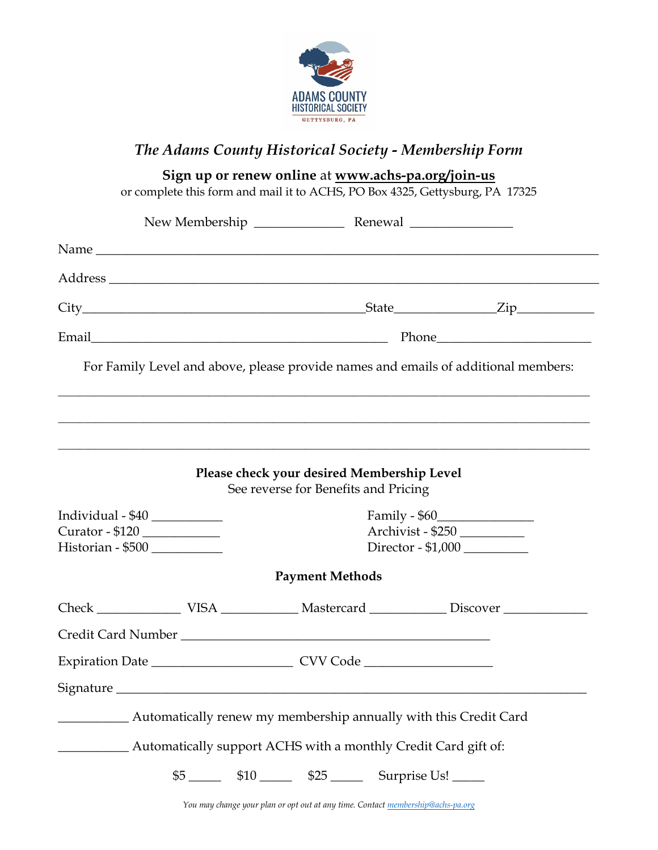

# *The Adams County Historical Society - Membership Form*

|                                                                                    | Sign up or renew online at www.achs-pa.org/join-us<br>or complete this form and mail it to ACHS, PO Box 4325, Gettysburg, PA 17325 |  |
|------------------------------------------------------------------------------------|------------------------------------------------------------------------------------------------------------------------------------|--|
|                                                                                    |                                                                                                                                    |  |
|                                                                                    |                                                                                                                                    |  |
|                                                                                    |                                                                                                                                    |  |
|                                                                                    |                                                                                                                                    |  |
|                                                                                    |                                                                                                                                    |  |
| For Family Level and above, please provide names and emails of additional members: |                                                                                                                                    |  |
|                                                                                    |                                                                                                                                    |  |
|                                                                                    | Please check your desired Membership Level<br>See reverse for Benefits and Pricing                                                 |  |
| Curator - \$120<br>Historian - \$500                                               | Archivist - \$250<br>Director - \$1,000                                                                                            |  |
|                                                                                    | <b>Payment Methods</b>                                                                                                             |  |
|                                                                                    |                                                                                                                                    |  |
|                                                                                    |                                                                                                                                    |  |
|                                                                                    |                                                                                                                                    |  |
|                                                                                    |                                                                                                                                    |  |
| Automatically renew my membership annually with this Credit Card                   |                                                                                                                                    |  |
| Automatically support ACHS with a monthly Credit Card gift of:                     |                                                                                                                                    |  |
|                                                                                    |                                                                                                                                    |  |

*You may change your plan or opt out at any time. Contact membership@achs-pa.org*